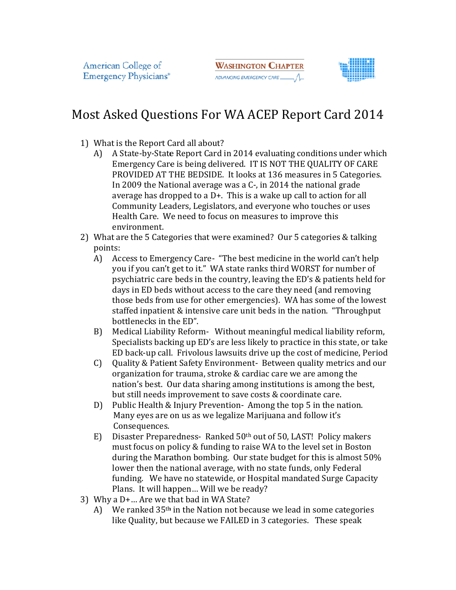**WASHINGTON CHAPTER** ADVANCING EMERGENCY CARE



## Most Asked Questions For WA ACEP Report Card 2014

- 1) What is the Report Card all about?
- A) A State-by-State Report Card in 2014 evaluating conditions under which t is the Report Card all about?<br>A State-by-State Report Card in 2014 evaluating conditions under whi<br>Emergency Care is being delivered. IT IS NOT THE QUALITY OF CARE A State-by-State Report Card in 2014 evaluating conditions under whicl<br>Emergency Care is being delivered. IT IS NOT THE QUALITY OF CARE<br>PROVIDED AT THE BEDSIDE. It looks at 136 measures in 5 Categories. In 2009 the National average was a C-, in 2014 the national grade average has dropped to a  $D<sup>+</sup>$ . This is a wake up call to action for all Community Leaders, Legislators, and everyone who touches or uses Health Care. We need to focus on measures to improve this environment. Health Care. We need to focus on measures to improve this<br>environment.<br>2) What are the 5 Categories that were examined? Our 5 categories & talking
- points:
- A) Access to Emergency Care- "The best medicine in the world can't help you if you can't get to it." WA state ranks third WORST for number of psychiatric care beds in the country, leaving the ED's & patients held for days in ED beds without access to the care they need (and removing psychiatric care beds in the country, leaving the ED's & patier<br>days in ED beds without access to the care they need (and rer<br>those beds from use for other emergencies). WA has some of staffed inpatient & intensive care unit beds in the nation. "Throughput bottlenecks in the ED". staffed inpatient & intensive care unit beds in the nation. "Throughput<br>bottlenecks in the ED".<br>B) Medical Liability Reform- Without meaningful medical liability reform, slators, and everyone who touches or uses<br>
Socus on measures to improve this<br>
were examined? Our 5 categories & talking<br>
2- "The best medicine in the world can't help<br>
WA state ranks third WORST for number of<br>
ne country,
- Specialists backing up ED's are less likely to practice in this state, or take ED back-up call. Frivolous lawsuits drive up the cost of medicine, Period ED back-up call. Frivolous lawsuits drive up the cost of medicine, Period C) Quality & Patient Safety Environment- Between quality metrics and our
	- organization for trauma, stroke & cardiac care we are among the nation's best. Our data sharing among institutions is among the best, but still needs improvement to save costs & coordinate care.
	- D) Public Health & Injury Prevention Among the top 5 in the nation. Many eyes are on us as we legalize Marijuana and follow it's Consequences.
	- Consequences.<br>E) Disaster Preparedness- Ranked 50<sup>th</sup> out of 50, LAST! Policy makers must focus on policy & funding to raise WA to the level set in Boston must focus on policy & funding to raise WA to the level set in Boston<br>during the Marathon bombing. Our state budget for this is almost 50% lower then the national average, with no state funds, only Federal funding. We have no statewide, or Hospital mandated Surge Capacity Plans. It will happen… Will we be ready? lower then the national average, with no state funds, only Federal<br>funding. We have no statewide, or Hospital mandated Surge Capacity<br>Plans. It will happen... Will we be ready?<br>Why a D+... Are we that bad in WA State?<br>A) W e & cardiac care we are among the<br>g among institutions is among the best,<br>b save costs & coordinate care.<br>tion- Among the top 5 in the nation.<br>alize Marijuana and follow it's<br>ed 50<sup>th</sup> out of 50, LAST! Policy makers<br>g to r
	- 3) Why a D+… Are we that bad in WA State?
		- like Quality, but Quality, but because we FAILED in 3 categories. These speak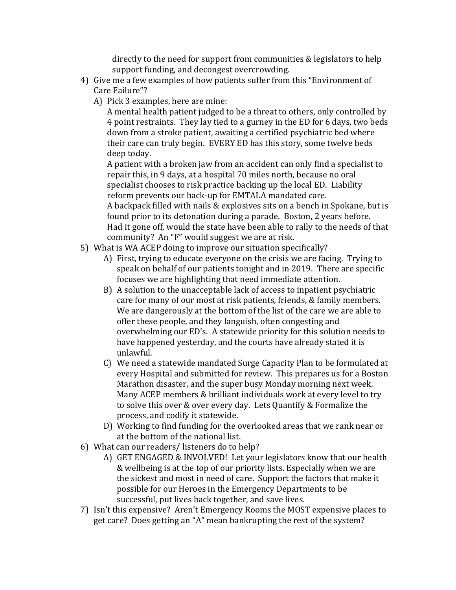directly to the need for support from communities & legislators to help support funding, and decongest overcrowding.

- 4) Give me a few examples of how patients suffer from this "Environment of Care Failure"?
	- A) Pick 3 examples, here are mine:

A mental health patient judged to be a threat to others, only controlled by 4 point restraints. They lay tied to a gurney in the ED for 6 days, two beds down from a stroke patient, awaiting a certified psychiatric bed where their care can truly begin. EVERY ED has this story, some twelve beds deep today.

A patient with a broken jaw from an accident can only find a specialist to repair this, in 9 days, at a hospital 70 miles north, because no oral specialist chooses to risk practice backing up the local ED. Liability reform prevents our back-up for EMTALA mandated care. A backpack filled with nails & explosives sits on a bench in Spokane, but is found prior to its detonation during a parade. Boston, 2 years before. Had it gone off, would the state have been able to rally to the needs of that community? An "F" would suggest we are at risk.

- 5) What is WA ACEP doing to improve our situation specifically?
	- A) First, trying to educate everyone on the crisis we are facing. Trying to speak on behalf of our patients tonight and in 2019. There are specific focuses we are highlighting that need immediate attention.
	- B) A solution to the unacceptable lack of access to inpatient psychiatric care for many of our most at risk patients, friends, & family members. We are dangerously at the bottom of the list of the care we are able to offer these people, and they languish, often congesting and overwhelming our ED's. A statewide priority for this solution needs to have happened yesterday, and the courts have already stated it is unlawful.
	- C) We need a statewide mandated Surge Capacity Plan to be formulated at every Hospital and submitted for review. This prepares us for a Boston Marathon disaster, and the super busy Monday morning next week. Many ACEP members & brilliant individuals work at every level to try to solve this over & over every day. Lets Quantify & Formalize the process, and codify it statewide.
	- D) Working to find funding for the overlooked areas that we rank near or at the bottom of the national list.
- 6) What can our readers/ listeners do to help?
	- A) GET ENGAGED & INVOLVED! Let your legislators know that our health & wellbeing is at the top of our priority lists. Especially when we are the sickest and most in need of care. Support the factors that make it possible for our Heroes in the Emergency Departments to be successful, put lives back together, and save lives.
- 7) Isn't this expensive? Aren't Emergency Rooms the MOST expensive places to get care? Does getting an "A" mean bankrupting the rest of the system?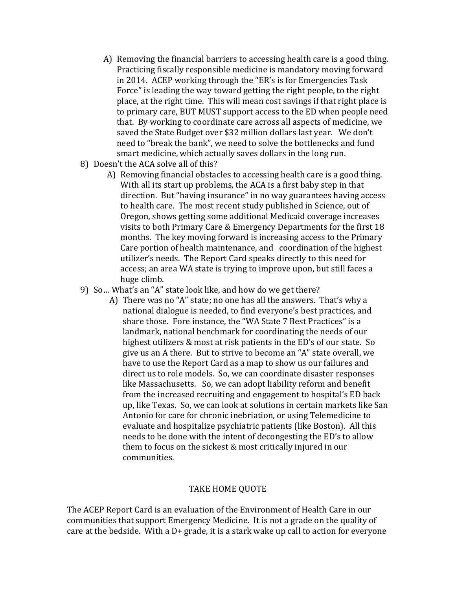- A) Removing the financial barriers to accessing health care is a good thing. Practicing fiscally responsible medicine is mandatory moving forward in 2014. ACEP working through the "ER's is for Emergencies Task Force" is leading the way toward getting the right people, to the right place, at the right time. This will mean cost savings if that right place is to primary care, BUT MUST support access to the ED when people need that. By working to coordinate care across all aspects of medicine, we saved the State Budget over \$32 million dollars last year. We don't need to "break the bank", we need to solve the bottlenecks and fund smart medicine, which actually saves dollars in the long run.
- 8) Doesn't the ACA solve all of this?
	- A) Removing financial obstacles to accessing health care is a good thing. With all its start up problems, the ACA is a first baby step in that direction. But "having insurance" in no way guarantees having access to health care. The most recent study published in Science, out of Oregon, shows getting some additional Medicaid coverage increases visits to both Primary Care & Emergency Departments for the first 18 months. The key moving forward is increasing access to the Primary Care portion of health maintenance, and coordination of the highest utilizer's needs. The Report Card speaks directly to this need for access; an area WA state is trying to improve upon, but still faces a huge climb.
- 9) So… What's an "A" state look like, and how do we get there?
	- A) There was no "A" state; no one has all the answers. That's why a national dialogue is needed, to find everyone's best practices, and share those. Fore instance, the "WA State 7 Best Practices" is a landmark, national benchmark for coordinating the needs of our highest utilizers & most at risk patients in the ED's of our state. So give us an A there. But to strive to become an "A" state overall, we have to use the Report Card as a map to show us our failures and direct us to role models. So, we can coordinate disaster responses like Massachusetts. So, we can adopt liability reform and benefit from the increased recruiting and engagement to hospital's ED back up, like Texas. So, we can look at solutions in certain markets like San Antonio for care for chronic inebriation, or using Telemedicine to evaluate and hospitalize psychiatric patients (like Boston). All this needs to be done with the intent of decongesting the ED's to allow them to focus on the sickest & most critically injured in our communities.

## TAKE HOME QUOTE

The ACEP Report Card is an evaluation of the Environment of Health Care in our communities that support Emergency Medicine. It is not a grade on the quality of care at the bedside. With a  $D+$  grade, it is a stark wake up call to action for everyone